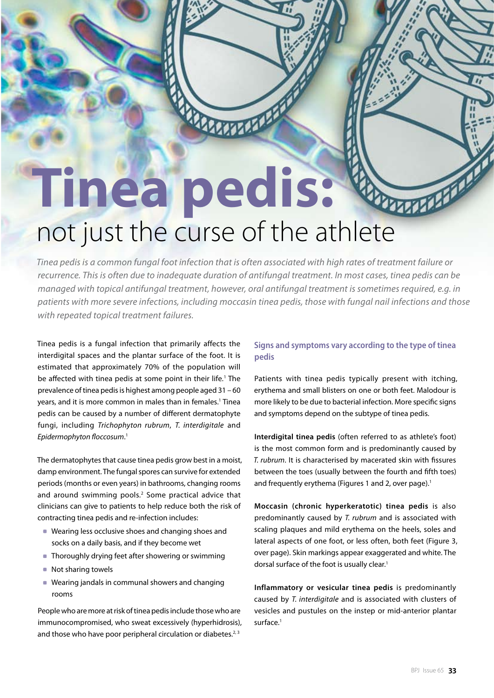# **Tinea pedis:**  not just the curse of the athlete

MARTINE DE

*Tinea pedis is a common fungal foot infection that is often associated with high rates of treatment failure or recurrence. This is often due to inadequate duration of antifungal treatment. In most cases, tinea pedis can be managed with topical antifungal treatment, however, oral antifungal treatment is sometimes required, e.g. in patients with more severe infections, including moccasin tinea pedis, those with fungal nail infections and those with repeated topical treatment failures.*

Tinea pedis is a fungal infection that primarily affects the interdigital spaces and the plantar surface of the foot. It is estimated that approximately 70% of the population will be affected with tinea pedis at some point in their life.<sup>1</sup> The prevalence of tinea pedis is highest among people aged 31 – 60 years, and it is more common in males than in females.<sup>1</sup> Tinea pedis can be caused by a number of different dermatophyte fungi, including *Trichophyton rubrum*, *T. interdigitale* and *Epidermophyton floccosum*. 1

The dermatophytes that cause tinea pedis grow best in a moist, damp environment. The fungal spores can survive for extended periods (months or even years) in bathrooms, changing rooms and around swimming pools.<sup>2</sup> Some practical advice that clinicians can give to patients to help reduce both the risk of contracting tinea pedis and re-infection includes:

- Wearing less occlusive shoes and changing shoes and socks on a daily basis, and if they become wet
- Thoroughly drying feet after showering or swimming
- Not sharing towels
- Wearing jandals in communal showers and changing rooms

People who are more at risk of tinea pedis include those who are immunocompromised, who sweat excessively (hyperhidrosis), and those who have poor peripheral circulation or diabetes. $2,3$ 

# **Signs and symptoms vary according to the type of tinea pedis**

Patients with tinea pedis typically present with itching, erythema and small blisters on one or both feet. Malodour is more likely to be due to bacterial infection. More specific signs and symptoms depend on the subtype of tinea pedis.

**Interdigital tinea pedis** (often referred to as athlete's foot) is the most common form and is predominantly caused by *T. rubrum*. It is characterised by macerated skin with fissures between the toes (usually between the fourth and fifth toes) and frequently erythema (Figures 1 and 2, over page).<sup>1</sup>

**Moccasin (chronic hyperkeratotic) tinea pedis** is also predominantly caused by *T. rubrum* and is associated with scaling plaques and mild erythema on the heels, soles and lateral aspects of one foot, or less often, both feet (Figure 3, over page). Skin markings appear exaggerated and white. The dorsal surface of the foot is usually clear.<sup>1</sup>

**Inflammatory or vesicular tinea pedis** is predominantly caused by *T. interdigitale* and is associated with clusters of vesicles and pustules on the instep or mid-anterior plantar surface.<sup>1</sup>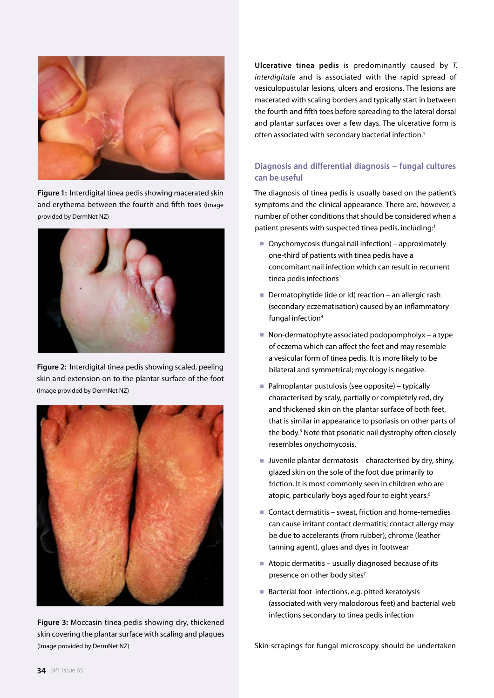

**Figure 1:** Interdigital tinea pedis showing macerated skin and erythema between the fourth and fifth toes (Image provided by DermNet NZ)



**Figure 2:** Interdigital tinea pedis showing scaled, peeling skin and extension on to the plantar surface of the foot (Image provided by DermNet NZ)



**Figure 3:** Moccasin tinea pedis showing dry, thickened skin covering the plantar surface with scaling and plaques (Image provided by DermNet NZ)

**Ulcerative tinea pedis** is predominantly caused by *T. interdigitale* and is associated with the rapid spread of vesiculopustular lesions, ulcers and erosions. The lesions are macerated with scaling borders and typically start in between the fourth and fifth toes before spreading to the lateral dorsal and plantar surfaces over a few days. The ulcerative form is often associated with secondary bacterial infection.<sup>1</sup>

# **Diagnosis and differential diagnosis – fungal cultures can be useful**

The diagnosis of tinea pedis is usually based on the patient's symptoms and the clinical appearance. There are, however, a number of other conditions that should be considered when a patient presents with suspected tinea pedis, including:<sup>1</sup>

- Onychomycosis (fungal nail infection) approximately one-third of patients with tinea pedis have a concomitant nail infection which can result in recurrent tinea pedis infections<sup>1</sup>
- Dermatophytide (ide or id) reaction an allergic rash (secondary eczematisation) caused by an inflammatory fungal infection<sup>4</sup>
- $\blacksquare$  Non-dermatophyte associated podopompholyx a type of eczema which can affect the feet and may resemble a vesicular form of tinea pedis. It is more likely to be bilateral and symmetrical; mycology is negative.
- Palmoplantar pustulosis (see opposite) typically characterised by scaly, partially or completely red, dry and thickened skin on the plantar surface of both feet, that is similar in appearance to psoriasis on other parts of the body.<sup>5</sup> Note that psoriatic nail dystrophy often closely resembles onychomycosis.
- Juvenile plantar dermatosis characterised by dry, shiny, glazed skin on the sole of the foot due primarily to friction. It is most commonly seen in children who are atopic, particularly boys aged four to eight years.<sup>6</sup>
- Contact dermatitis sweat, friction and home-remedies can cause irritant contact dermatitis; contact allergy may be due to accelerants (from rubber), chrome (leather tanning agent), glues and dyes in footwear
- Atopic dermatitis usually diagnosed because of its presence on other body sites<sup>7</sup>
- Bacterial foot infections, e.g. pitted keratolysis (associated with very malodorous feet) and bacterial web infections secondary to tinea pedis infection

Skin scrapings for fungal microscopy should be undertaken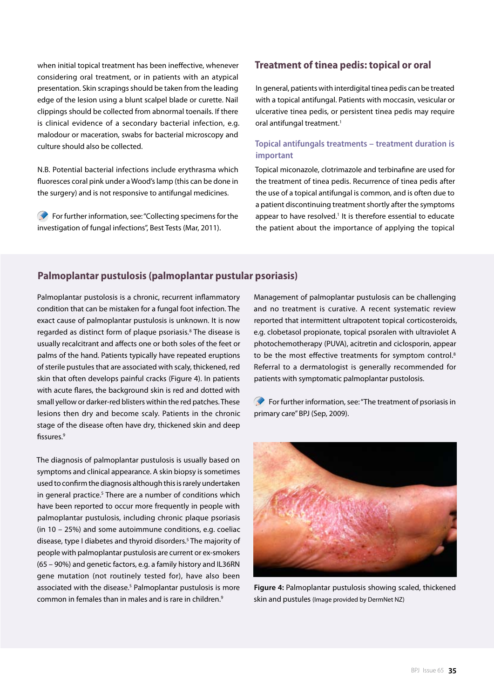when initial topical treatment has been ineffective, whenever considering oral treatment, or in patients with an atypical presentation. Skin scrapings should be taken from the leading edge of the lesion using a blunt scalpel blade or curette. Nail clippings should be collected from abnormal toenails. If there is clinical evidence of a secondary bacterial infection, e.g. malodour or maceration, swabs for bacterial microscopy and culture should also be collected.

N.B. Potential bacterial infections include erythrasma which fluoresces coral pink under a Wood's lamp (this can be done in the surgery) and is not responsive to antifungal medicines.

For further information, see: "Collecting specimens for the investigation of fungal infections", Best Tests (Mar, 2011).

# **Treatment of tinea pedis: topical or oral**

In general, patients with interdigital tinea pedis can be treated with a topical antifungal. Patients with moccasin, vesicular or ulcerative tinea pedis, or persistent tinea pedis may require oral antifungal treatment.<sup>1</sup>

## **Topical antifungals treatments – treatment duration is important**

Topical miconazole, clotrimazole and terbinafine are used for the treatment of tinea pedis. Recurrence of tinea pedis after the use of a topical antifungal is common, and is often due to a patient discontinuing treatment shortly after the symptoms appear to have resolved.<sup>1</sup> It is therefore essential to educate the patient about the importance of applying the topical

# **Palmoplantar pustulosis (palmoplantar pustular psoriasis)**

Palmoplantar pustolosis is a chronic, recurrent inflammatory condition that can be mistaken for a fungal foot infection. The exact cause of palmoplantar pustulosis is unknown. It is now regarded as distinct form of plaque psoriasis.<sup>8</sup> The disease is usually recalcitrant and affects one or both soles of the feet or palms of the hand. Patients typically have repeated eruptions of sterile pustules that are associated with scaly, thickened, red skin that often develops painful cracks (Figure 4). In patients with acute flares, the background skin is red and dotted with small yellow or darker-red blisters within the red patches. These lesions then dry and become scaly. Patients in the chronic stage of the disease often have dry, thickened skin and deep fissures.9

The diagnosis of palmoplantar pustulosis is usually based on symptoms and clinical appearance. A skin biopsy is sometimes used to confirm the diagnosis although this is rarely undertaken in general practice.<sup>5</sup> There are a number of conditions which have been reported to occur more frequently in people with palmoplantar pustulosis, including chronic plaque psoriasis (in 10 – 25%) and some autoimmune conditions, e.g. coeliac disease, type I diabetes and thyroid disorders.5 The majority of people with palmoplantar pustulosis are current or ex-smokers (65 – 90%) and genetic factors, e.g. a family history and IL36RN gene mutation (not routinely tested for), have also been associated with the disease.<sup>5</sup> Palmoplantar pustulosis is more common in females than in males and is rare in children.9

Management of palmoplantar pustulosis can be challenging and no treatment is curative. A recent systematic review reported that intermittent ultrapotent topical corticosteroids, e.g. clobetasol propionate, topical psoralen with ultraviolet A photochemotherapy (PUVA), acitretin and ciclosporin, appear to be the most effective treatments for symptom control.<sup>8</sup> Referral to a dermatologist is generally recommended for patients with symptomatic palmoplantar pustolosis.

For further information, see: "The treatment of psoriasis in primary care" BPJ (Sep, 2009).



**Figure 4:** Palmoplantar pustulosis showing scaled, thickened skin and pustules (Image provided by DermNet NZ)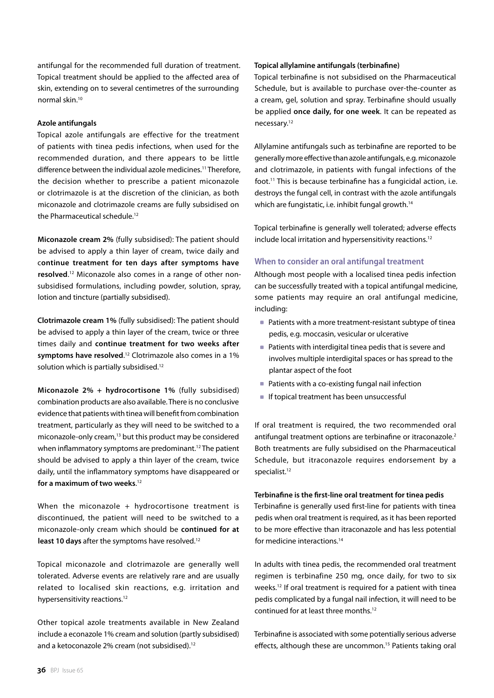antifungal for the recommended full duration of treatment. Topical treatment should be applied to the affected area of skin, extending on to several centimetres of the surrounding normal skin.10

#### **Azole antifungals**

Topical azole antifungals are effective for the treatment of patients with tinea pedis infections, when used for the recommended duration, and there appears to be little difference between the individual azole medicines.<sup>11</sup> Therefore, the decision whether to prescribe a patient miconazole or clotrimazole is at the discretion of the clinician, as both miconazole and clotrimazole creams are fully subsidised on the Pharmaceutical schedule.<sup>12</sup>

**Miconazole cream 2%** (fully subsidised): The patient should be advised to apply a thin layer of cream, twice daily and c**ontinue treatment for ten days after symptoms have resolved**. 12 Miconazole also comes in a range of other nonsubsidised formulations, including powder, solution, spray, lotion and tincture (partially subsidised).

**Clotrimazole cream 1%** (fully subsidised): The patient should be advised to apply a thin layer of the cream, twice or three times daily and **continue treatment for two weeks after symptoms have resolved**. 12 Clotrimazole also comes in a 1% solution which is partially subsidised.<sup>12</sup>

**Miconazole 2% + hydrocortisone 1%** (fully subsidised) combination products are also available. There is no conclusive evidence that patients with tinea will benefit from combination treatment, particularly as they will need to be switched to a miconazole-only cream,<sup>13</sup> but this product may be considered when inflammatory symptoms are predominant.<sup>12</sup> The patient should be advised to apply a thin layer of the cream, twice daily, until the inflammatory symptoms have disappeared or **for a maximum of two weeks**. 12

When the miconazole  $+$  hydrocortisone treatment is discontinued, the patient will need to be switched to a miconazole-only cream which should be **continued for at**  least 10 days after the symptoms have resolved.<sup>12</sup>

Topical miconazole and clotrimazole are generally well tolerated. Adverse events are relatively rare and are usually related to localised skin reactions, e.g. irritation and hypersensitivity reactions.<sup>12</sup>

Other topical azole treatments available in New Zealand include a econazole 1% cream and solution (partly subsidised) and a ketoconazole 2% cream (not subsidised).<sup>12</sup>

#### **Topical allylamine antifungals (terbinafine)**

Topical terbinafine is not subsidised on the Pharmaceutical Schedule, but is available to purchase over-the-counter as a cream, gel, solution and spray. Terbinafine should usually be applied **once daily, for one week**. It can be repeated as necessary.12

Allylamine antifungals such as terbinafine are reported to be generally more effective than azole antifungals, e.g. miconazole and clotrimazole, in patients with fungal infections of the foot.11 This is because terbinafine has a fungicidal action, i.e. destroys the fungal cell, in contrast with the azole antifungals which are fungistatic, i.e. inhibit fungal growth.<sup>14</sup>

Topical terbinafine is generally well tolerated; adverse effects include local irritation and hypersensitivity reactions.<sup>12</sup>

#### **When to consider an oral antifungal treatment**

Although most people with a localised tinea pedis infection can be successfully treated with a topical antifungal medicine, some patients may require an oral antifungal medicine, including:

- Patients with a more treatment-resistant subtype of tinea pedis, e.g. moccasin, vesicular or ulcerative
- Patients with interdigital tinea pedis that is severe and involves multiple interdigital spaces or has spread to the plantar aspect of the foot
- Patients with a co-existing fungal nail infection
- **If topical treatment has been unsuccessful**

If oral treatment is required, the two recommended oral antifungal treatment options are terbinafine or itraconazole.<sup>2</sup> Both treatments are fully subsidised on the Pharmaceutical Schedule, but itraconazole requires endorsement by a specialist.<sup>12</sup>

#### **Terbinafine is the first-line oral treatment for tinea pedis**

Terbinafine is generally used first-line for patients with tinea pedis when oral treatment is required, as it has been reported to be more effective than itraconazole and has less potential for medicine interactions.14

In adults with tinea pedis, the recommended oral treatment regimen is terbinafine 250 mg, once daily, for two to six weeks.12 If oral treatment is required for a patient with tinea pedis complicated by a fungal nail infection, it will need to be continued for at least three months.12

Terbinafine is associated with some potentially serious adverse effects, although these are uncommon.<sup>15</sup> Patients taking oral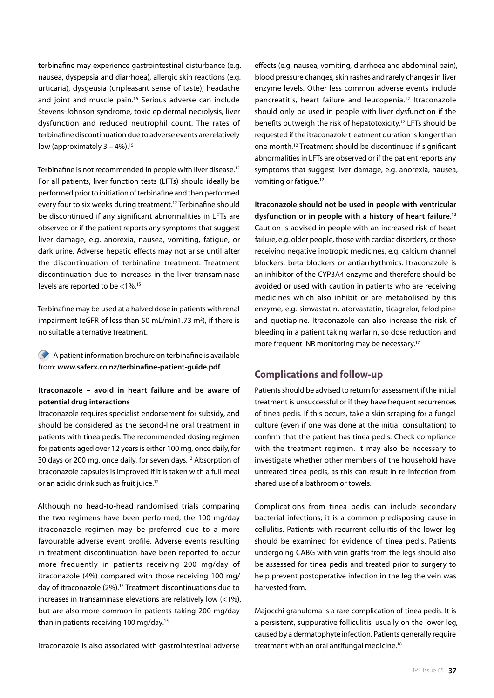terbinafine may experience gastrointestinal disturbance (e.g. nausea, dyspepsia and diarrhoea), allergic skin reactions (e.g. urticaria), dysgeusia (unpleasant sense of taste), headache and joint and muscle pain.<sup>16</sup> Serious adverse can include Stevens-Johnson syndrome, toxic epidermal necrolysis, liver dysfunction and reduced neutrophil count. The rates of terbinafine discontinuation due to adverse events are relatively low (approximately  $3 - 4\%$ ).<sup>15</sup>

Terbinafine is not recommended in people with liver disease.<sup>12</sup> For all patients, liver function tests (LFTs) should ideally be performed prior to initiation of terbinafine and then performed every four to six weeks during treatment.<sup>12</sup> Terbinafine should be discontinued if any significant abnormalities in LFTs are observed or if the patient reports any symptoms that suggest liver damage, e.g. anorexia, nausea, vomiting, fatigue, or dark urine. Adverse hepatic effects may not arise until after the discontinuation of terbinafine treatment. Treatment discontinuation due to increases in the liver transaminase levels are reported to be <1%.15

Terbinafine may be used at a halved dose in patients with renal impairment (eGFR of less than 50 mL/min1.73 m<sup>2</sup>), if there is no suitable alternative treatment.

A patient information brochure on terbinafine is available from: **www.saferx.co.nz/terbinafine-patient-guide.pdf**

### **Itraconazole – avoid in heart failure and be aware of potential drug interactions**

Itraconazole requires specialist endorsement for subsidy, and should be considered as the second-line oral treatment in patients with tinea pedis. The recommended dosing regimen for patients aged over 12 years is either 100 mg, once daily, for 30 days or 200 mg, once daily, for seven days.<sup>12</sup> Absorption of itraconazole capsules is improved if it is taken with a full meal or an acidic drink such as fruit juice.12

Although no head-to-head randomised trials comparing the two regimens have been performed, the 100 mg/day itraconazole regimen may be preferred due to a more favourable adverse event profile. Adverse events resulting in treatment discontinuation have been reported to occur more frequently in patients receiving 200 mg/day of itraconazole (4%) compared with those receiving 100 mg/ day of itraconazole (2%).<sup>15</sup> Treatment discontinuations due to increases in transaminase elevations are relatively low (<1%), but are also more common in patients taking 200 mg/day than in patients receiving 100 mg/day.<sup>15</sup>

Itraconazole is also associated with gastrointestinal adverse

effects (e.g. nausea, vomiting, diarrhoea and abdominal pain), blood pressure changes, skin rashes and rarely changes in liver enzyme levels. Other less common adverse events include pancreatitis, heart failure and leucopenia.12 Itraconazole should only be used in people with liver dysfunction if the benefits outweigh the risk of hepatotoxicity.12 LFTs should be requested if the itraconazole treatment duration is longer than one month.12 Treatment should be discontinued if significant abnormalities in LFTs are observed or if the patient reports any symptoms that suggest liver damage, e.g. anorexia, nausea, vomiting or fatigue.12

**Itraconazole should not be used in people with ventricular dysfunction or in people with a history of heart failure**. 12 Caution is advised in people with an increased risk of heart failure, e.g. older people, those with cardiac disorders, or those receiving negative inotropic medicines, e.g. calcium channel blockers, beta blockers or antiarrhythmics. Itraconazole is an inhibitor of the CYP3A4 enzyme and therefore should be avoided or used with caution in patients who are receiving medicines which also inhibit or are metabolised by this enzyme, e.g. simvastatin, atorvastatin, ticagrelor, felodipine and quetiapine. Itraconazole can also increase the risk of bleeding in a patient taking warfarin, so dose reduction and more frequent INR monitoring may be necessary.<sup>17</sup>

# **Complications and follow-up**

Patients should be advised to return for assessment if the initial treatment is unsuccessful or if they have frequent recurrences of tinea pedis. If this occurs, take a skin scraping for a fungal culture (even if one was done at the initial consultation) to confirm that the patient has tinea pedis. Check compliance with the treatment regimen. It may also be necessary to investigate whether other members of the household have untreated tinea pedis, as this can result in re-infection from shared use of a bathroom or towels.

Complications from tinea pedis can include secondary bacterial infections; it is a common predisposing cause in cellulitis. Patients with recurrent cellulitis of the lower leg should be examined for evidence of tinea pedis. Patients undergoing CABG with vein grafts from the legs should also be assessed for tinea pedis and treated prior to surgery to help prevent postoperative infection in the leg the vein was harvested from.

Majocchi granuloma is a rare complication of tinea pedis. It is a persistent, suppurative folliculitis, usually on the lower leg, caused by a dermatophyte infection. Patients generally require treatment with an oral antifungal medicine.<sup>18</sup>